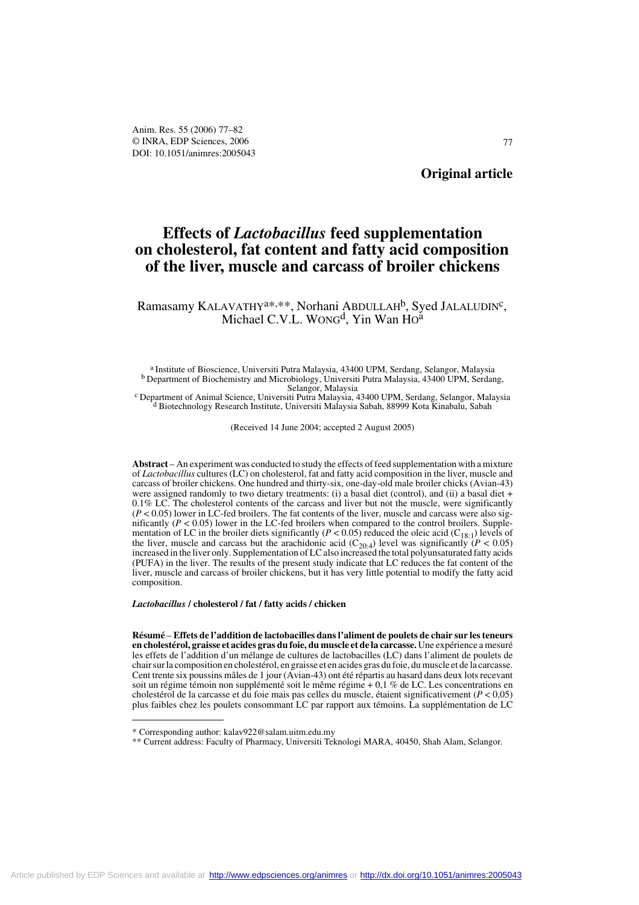# **Effects of** *Lactobacillus* **feed supplementation on cholesterol, fat content and fatty acid composition of the liver, muscle and carcass of broiler chickens**

Ramasamy KALAVATHY<sup>a\*,\*\*</sup>, Norhani ABDULLAH<sup>b</sup>, Syed JALALUDIN<sup>c</sup>, Michael C.V.L. WONG<sup>d</sup>, Yin Wan Ho<sup>a</sup>

a Institute of Bioscience, Universiti Putra Malaysia, 43400 UPM, Serdang, Selangor, Malaysia<br>b Department of Biochemistry and Microbiology, Universiti Putra Malaysia, 43400 UPM, Serdang,<br>Selangor, Malaysia

Selangor, Malaysia c Department of Animal Science, Universiti Putra Malaysia, 43400 UPM, Serdang, Selangor, Malaysia d Biotechnology Research Institute, Universiti Malaysia Sabah, 88999 Kota Kinabalu, Sabah

(Received 14 June 2004; accepted 2 August 2005)

**Abstract** – An experiment was conducted to study the effects of feed supplementation with a mixture of *Lactobacillus* cultures (LC) on cholesterol, fat and fatty acid composition in the liver, muscle and carcass of broiler chickens. One hundred and thirty-six, one-day-old male broiler chicks (Avian-43) were assigned randomly to two dietary treatments: (i) a basal diet (control), and (ii) a basal diet + 0.1% LC. The cholesterol contents of the carcass and liver but not the muscle, were significantly  $(P < 0.05)$  lower in LC-fed broilers. The fat contents of the liver, muscle and carcass were also significantly ( $P < 0.05$ ) lower in the LC-fed broilers when compared to the control broilers. Supplementation of LC in the broiler diets significantly ( $P < 0.05$ ) reduced the oleic acid ( $C_{18:1}$ ) levels of the liver, muscle and carcass but the arachidonic acid  $(C_{20.4})$  level was significantly  $(P < 0.05)$  increased in the liver only. Supplementation of LC also increased the total polyunsaturated fatty acids (PUFA) in the liver. The results of the present study indicate that LC reduces the fat content of the liver, muscle and carcass of broiler chickens, but it has very little potential to modify the fatty acid composition.

*Lactobacillus* **/ cholesterol / fat / fatty acids / chicken**

**Résumé** – **Effets de l'addition de lactobacilles dans l'aliment de poulets de chair sur les teneurs en cholestérol, graisse et acides gras du foie, du muscle et de la carcasse.** Une expérience a mesuré les effets de l'addition d'un mélange de cultures de lactobacilles (LC) dans l'aliment de poulets de chair sur la composition en cholestérol, en graisse et en acides gras du foie, du muscle et de la carcasse. Cent trente six poussins mâles de 1 jour (Avian-43) ont été répartis au hasard dans deux lots recevant soit un régime témoin non supplémenté soit le même régime + 0,1 % de LC. Les concentrations en cholestérol de la carcasse et du foie mais pas celles du muscle, étaient significativement (*P* < 0,05) plus faibles chez les poulets consommant LC par rapport aux témoins. La supplémentation de LC

<sup>\*</sup> Corresponding author: kalav922@salam.uitm.edu.my

<sup>\*\*</sup> Current address: Faculty of Pharmacy, Universiti Teknologi MARA, 40450, Shah Alam, Selangor.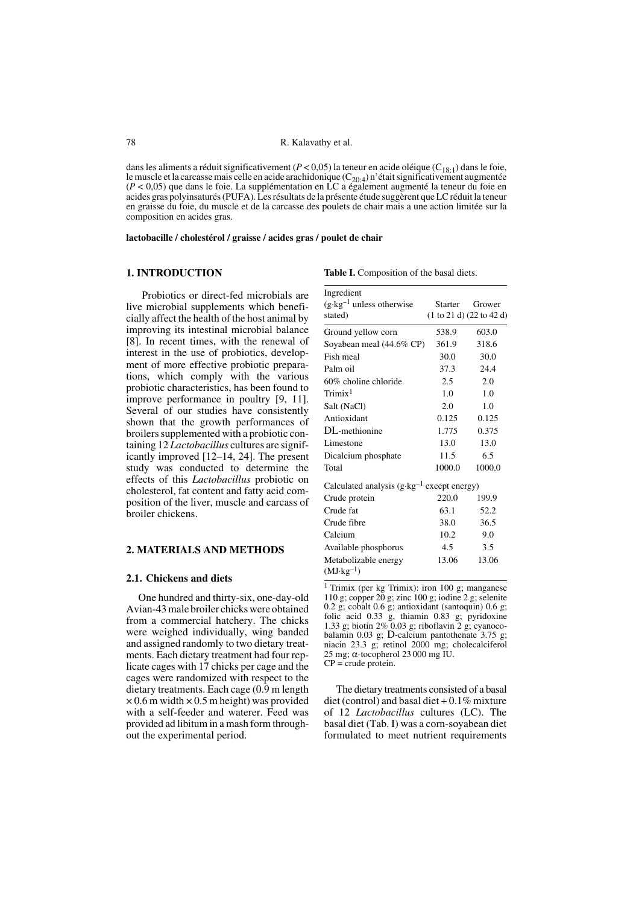dans les aliments a réduit significativement ( $P < 0.05$ ) la teneur en acide oléique ( $C_{18:1}$ ) dans le foie, le muscle et la carcasse mais celle en acide arachidonique  $(C_{20.4})$  n'était significativement augmentée (*P* < 0,05) que dans le foie. La supplémentation en LC a également augmenté la teneur du foie en acides gras polyinsaturés (PUFA). Les résultats de la présente étude suggèrent que LC réduit la teneur en graisse du foie, du muscle et de la carcasse des poulets de chair mais a une action limitée sur la composition en acides gras.

**lactobacille / cholestérol / graisse / acides gras / poulet de chair**

#### **1. INTRODUCTION**

Table I. Composition of the basal diets.

 Probiotics or direct-fed microbials are live microbial supplements which beneficially affect the health of the host animal by improving its intestinal microbial balance [8]. In recent times, with the renewal of interest in the use of probiotics, development of more effective probiotic preparations, which comply with the various probiotic characteristics, has been found to improve performance in poultry [9, 11]. Several of our studies have consistently shown that the growth performances of broilers supplemented with a probiotic containing 12 *Lactobacillus* cultures are significantly improved [12–14, 24]. The present study was conducted to determine the effects of this *Lactobacillus* probiotic on cholesterol, fat content and fatty acid composition of the liver, muscle and carcass of broiler chickens.

# **2. MATERIALS AND METHODS**

#### **2.1. Chickens and diets**

One hundred and thirty-six, one-day-old Avian-43 male broiler chicks were obtained from a commercial hatchery. The chicks were weighed individually, wing banded and assigned randomly to two dietary treatments. Each dietary treatment had four replicate cages with 17 chicks per cage and the cages were randomized with respect to the dietary treatments. Each cage (0.9 m length  $\times$  0.6 m width  $\times$  0.5 m height) was provided with a self-feeder and waterer. Feed was provided ad libitum in a mash form throughout the experimental period.

| Ingredient<br>$(g \cdot kg^{-1})$ unless otherwise<br>stated) | Starter       | Grower<br>(1 to 21 d) (22 to 42 d) |
|---------------------------------------------------------------|---------------|------------------------------------|
| Ground yellow corn                                            | 538.9         | 603.0                              |
| Soyabean meal (44.6% CP)                                      | 361.9         | 318.6                              |
| Fish meal                                                     | 30.0          | 30.0                               |
| Palm oil                                                      | 37.3          | 24.4                               |
| 60% choline chloride                                          | $2.5^{\circ}$ | 2.0                                |
| $\rm Trimix^1$                                                | 1.0           | 1.0                                |
| Salt (NaCl)                                                   | 2.0           | 1.0                                |
| Antioxidant                                                   | 0.125         | 0.125                              |
| DL-methionine                                                 | 1.775         | 0.375                              |
| Limestone                                                     | 13.0          | 13.0                               |
| Dicalcium phosphate                                           | 11.5          | 6.5                                |
| Total                                                         | 1000.0        | 1000.0                             |
| Calculated analysis $(g \cdot kg^{-1}$ except energy)         |               |                                    |
| Crude protein                                                 | 220.0         | 199.9                              |
| Crude fat                                                     | 63.1          | 52.2                               |
| Crude fibre                                                   | 38.0          | 36.5                               |
| Calcium                                                       | 10.2          | 9.0                                |
| Available phosphorus                                          | 4.5           | 3.5                                |
| Metabolizable energy<br>$(MJ \cdot kg^{-1})$                  | 13.06         | 13.06                              |

1 Trimix (per kg Trimix): iron 100 g; manganese 110 g; copper  $20$  g; zinc 100 g; iodine 2 g; selenite 0.2 g; cobalt 0.6 g; antioxidant (santoquin) 0.6 g; folic acid 0.33 g, thiamin 0.83 g; pyridoxine 1.33 g; biotin 2% 0.03 g; riboflavin 2 g; cyanocobalamin 0.03 g; D-calcium pantothenate 3.75 g; niacin 23.3 g; retinol 2000 mg; cholecalciferol 25 mg; α-tocopherol 23 000 mg IU.  $CP = \text{crude protein}.$ 

The dietary treatments consisted of a basal diet (control) and basal diet  $+0.1\%$  mixture of 12 *Lactobacillus* cultures (LC). The basal diet (Tab. I) was a corn-soyabean diet formulated to meet nutrient requirements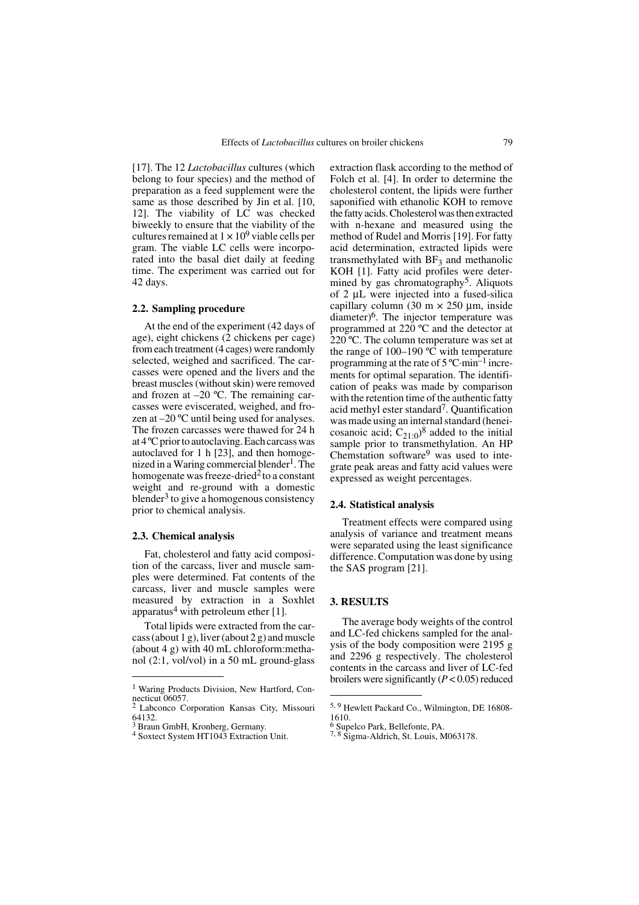[17]. The 12 *Lactobacillus* cultures (which belong to four species) and the method of preparation as a feed supplement were the same as those described by Jin et al. [10, 12]. The viability of LC was checked biweekly to ensure that the viability of the cultures remained at  $1 \times 10^9$  viable cells per gram. The viable LC cells were incorporated into the basal diet daily at feeding time. The experiment was carried out for 42 days.

### **2.2. Sampling procedure**

At the end of the experiment (42 days of age), eight chickens (2 chickens per cage) from each treatment (4 cages) were randomly selected, weighed and sacrificed. The carcasses were opened and the livers and the breast muscles (without skin) were removed and frozen at  $-20$  °C. The remaining carcasses were eviscerated, weighed, and frozen at –20 ºC until being used for analyses. The frozen carcasses were thawed for 24 h at 4 ºC prior to autoclaving. Each carcass was autoclaved for 1 h [23], and then homogenized in a Waring commercial blender<sup>1</sup>. The homogenate was freeze-dried<sup>2</sup> to a constant weight and re-ground with a domestic blender<sup>3</sup> to give a homogenous consistency prior to chemical analysis.

### **2.3. Chemical analysis**

Fat, cholesterol and fatty acid composition of the carcass, liver and muscle samples were determined. Fat contents of the carcass, liver and muscle samples were measured by extraction in a Soxhlet apparatus<sup>4</sup> with petroleum ether  $[1]$ .

Total lipids were extracted from the carcass (about 1 g), liver (about 2 g) and muscle (about 4 g) with 40 mL chloroform:methanol (2:1, vol/vol) in a 50 mL ground-glass extraction flask according to the method of Folch et al. [4]. In order to determine the cholesterol content, the lipids were further saponified with ethanolic KOH to remove the fatty acids. Cholesterol was then extracted with n-hexane and measured using the method of Rudel and Morris [19]. For fatty acid determination, extracted lipids were transmethylated with  $BF<sub>3</sub>$  and methanolic KOH [1]. Fatty acid profiles were determined by gas chromatography<sup>5</sup>. Aliquots of 2 μL were injected into a fused-silica capillary column (30 m  $\times$  250 µm, inside diameter)<sup>6</sup>. The injector temperature was programmed at 220 ºC and the detector at 220 ºC. The column temperature was set at the range of 100–190 ºC with temperature programming at the rate of 5 ºC·min–1 increments for optimal separation. The identification of peaks was made by comparison with the retention time of the authentic fatty acid methyl ester standard7. Quantification was made using an internal standard (heneicosanoic acid;  $C_{21:0}$ <sup>8</sup> added to the initial sample prior to transmethylation. An HP Chemstation software9 was used to integrate peak areas and fatty acid values were expressed as weight percentages.

### **2.4. Statistical analysis**

Treatment effects were compared using analysis of variance and treatment means were separated using the least significance difference. Computation was done by using the SAS program [21].

# **3. RESULTS**

The average body weights of the control and LC-fed chickens sampled for the analysis of the body composition were 2195 g and 2296 g respectively. The cholesterol contents in the carcass and liver of LC-fed<br>broilers were significantly  $(P < 0.05)$  reduced

<sup>&</sup>lt;sup>1</sup> Waring Products Division, New Hartford, Connecticut 06057.

<sup>2</sup> Labconco Corporation Kansas City, Missouri 64132.

<sup>3</sup> Braun GmbH, Kronberg, Germany.

<sup>4</sup> Soxtect System HT1043 Extraction Unit.

<sup>5, 9</sup> Hewlett Packard Co., Wilmington, DE 16808- 1610.

<sup>6</sup> Supelco Park, Bellefonte, PA.

<sup>7, 8</sup> Sigma-Aldrich, St. Louis, M063178.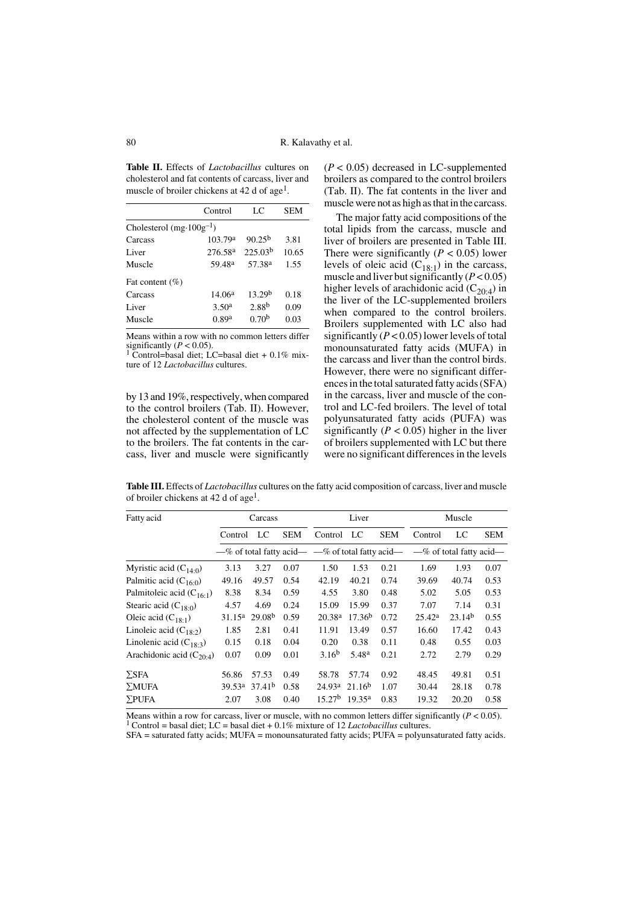**Table II.** Effects of *Lactobacillus* cultures on cholesterol and fat contents of carcass, liver and muscle of broiler chickens at 42 d of age<sup>1</sup>.

|                                    | Control             | LC                  | <b>SEM</b> |  |  |  |  |
|------------------------------------|---------------------|---------------------|------------|--|--|--|--|
| Cholesterol $(mg \cdot 100g^{-1})$ |                     |                     |            |  |  |  |  |
| Carcass                            | 103.79 <sup>a</sup> | $90.25^{b}$         | 3.81       |  |  |  |  |
| Liver                              | 276.58 <sup>a</sup> | 225.03 <sup>b</sup> | 10.65      |  |  |  |  |
| Muscle                             | 59.48 <sup>a</sup>  | 57.38 <sup>a</sup>  | 1.55       |  |  |  |  |
| Fat content $(\%)$                 |                     |                     |            |  |  |  |  |
| Carcass                            | 14.06 <sup>a</sup>  | 13.29 <sup>b</sup>  | 0.18       |  |  |  |  |
| Liver                              | 3.50 <sup>a</sup>   | 2.88 <sup>b</sup>   | 0.09       |  |  |  |  |
| Muscle                             | 0.89a               | 0.70 <sup>b</sup>   | 0.03       |  |  |  |  |

Means within a row with no common letters differ significantly ( $P < 0.05$ ).<br><sup>1</sup> Control=basal diet; LC=basal diet + 0.1% mix-

ture of 12 *Lactobacillus* cultures.

by 13 and 19%, respectively, when compared to the control broilers (Tab. II). However, the cholesterol content of the muscle was not affected by the supplementation of LC to the broilers. The fat contents in the carcass, liver and muscle were significantly  $(P < 0.05)$  decreased in LC-supplemented broilers as compared to the control broilers (Tab. II). The fat contents in the liver and muscle were not as high as that in the carcass.

The major fatty acid compositions of the total lipids from the carcass, muscle and liver of broilers are presented in Table III. There were significantly  $(P < 0.05)$  lower levels of oleic acid  $(C_{18:1})$  in the carcass, muscle and liver but significantly (*P* < 0.05) higher levels of arachidonic acid  $(C_{20:4})$  in the liver of the LC-supplemented broilers when compared to the control broilers. Broilers supplemented with LC also had significantly  $(P < 0.05)$  lower levels of total monounsaturated fatty acids (MUFA) in the carcass and liver than the control birds. However, there were no significant differences in the total saturated fatty acids (SFA) in the carcass, liver and muscle of the control and LC-fed broilers. The level of total polyunsaturated fatty acids (PUFA) was significantly ( $P < 0.05$ ) higher in the liver of broilers supplemented with LC but there were no significant differences in the levels

**Table III.** Effects of *Lactobacillus* cultures on the fatty acid composition of carcass, liver and muscle of broiler chickens at 42 d of age<sup>1</sup>.

| Fatty acid                    | Carcass            |                    | Liver      |                    | Muscle             |            |                                                                                  |                    |            |
|-------------------------------|--------------------|--------------------|------------|--------------------|--------------------|------------|----------------------------------------------------------------------------------|--------------------|------------|
|                               | Control            | LC                 | <b>SEM</b> | Control            | LC                 | <b>SEM</b> | Control                                                                          | LC                 | <b>SEM</b> |
|                               |                    |                    |            |                    |                    |            | $-\%$ of total fatty acid— $-\%$ of total fatty acid— $-\%$ of total fatty acid— |                    |            |
| Myristic acid $(C_{140})$     | 3.13               | 3.27               | 0.07       | 1.50               | 1.53               | 0.21       | 1.69                                                                             | 1.93               | 0.07       |
| Palmitic acid $(C_{16:0})$    | 49.16              | 49.57              | 0.54       | 42.19              | 40.21              | 0.74       | 39.69                                                                            | 40.74              | 0.53       |
| Palmitoleic acid $(C_{16.1})$ | 8.38               | 8.34               | 0.59       | 4.55               | 3.80               | 0.48       | 5.02                                                                             | 5.05               | 0.53       |
| Stearic acid $(C_{180})$      | 4.57               | 4.69               | 0.24       | 15.09              | 15.99              | 0.37       | 7.07                                                                             | 7.14               | 0.31       |
| Oleic acid $(C_{18-1})$       | 31.15 <sup>a</sup> | 29.08 <sup>b</sup> | 0.59       | 20.38 <sup>a</sup> | 17.36 <sup>b</sup> | 0.72       | 25.42 <sup>a</sup>                                                               | 23.14 <sup>b</sup> | 0.55       |
| Linoleic acid $(C_{18.2})$    | 1.85               | 2.81               | 0.41       | 11.91              | 13.49              | 0.57       | 16.60                                                                            | 17.42              | 0.43       |
| Linolenic acid $(C_{18.3})$   | 0.15               | 0.18               | 0.04       | 0.20               | 0.38               | 0.11       | 0.48                                                                             | 0.55               | 0.03       |
| Arachidonic acid $(C_{20:4})$ | 0.07               | 0.09               | 0.01       | 3.16 <sup>b</sup>  | 5.48 <sup>a</sup>  | 0.21       | 2.72                                                                             | 2.79               | 0.29       |
| $\Sigma$ SFA                  | 56.86              | 57.53              | 0.49       | 58.78              | 57.74              | 0.92       | 48.45                                                                            | 49.81              | 0.51       |
| $\Sigma MUFA$                 | 39.53 <sup>a</sup> | 37.41 <sup>b</sup> | 0.58       | 24.93 <sup>a</sup> | 21.16 <sup>b</sup> | 1.07       | 30.44                                                                            | 28.18              | 0.78       |
| $\Sigma$ PUFA                 | 2.07               | 3.08               | 0.40       | 15.27 <sup>b</sup> | $19.35^{\rm a}$    | 0.83       | 19.32                                                                            | 20.20              | 0.58       |

Means within a row for carcass, liver or muscle, with no common letters differ significantly  $(P < 0.05)$ .

1 Control = basal diet; LC = basal diet + 0.1% mixture of 12 *Lactobacillus* cultures.

SFA = saturated fatty acids; MUFA = monounsaturated fatty acids; PUFA = polyunsaturated fatty acids.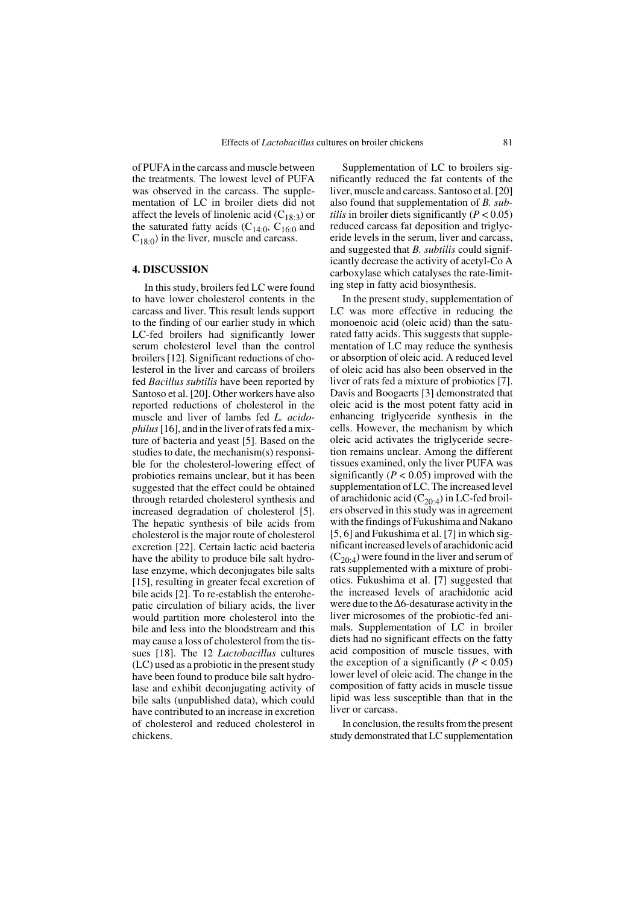of PUFA in the carcass and muscle between the treatments. The lowest level of PUFA was observed in the carcass. The supplementation of LC in broiler diets did not affect the levels of linolenic acid  $(C_{18:3})$  or the saturated fatty acids  $(C_{14:0}, C_{16:0}$  and  $C_{18:0}$ ) in the liver, muscle and carcass.

## **4. DISCUSSION**

In this study, broilers fed LC were found to have lower cholesterol contents in the carcass and liver. This result lends support to the finding of our earlier study in which LC-fed broilers had significantly lower serum cholesterol level than the control broilers [12]. Significant reductions of cholesterol in the liver and carcass of broilers fed *Bacillus subtilis* have been reported by Santoso et al. [20]. Other workers have also reported reductions of cholesterol in the muscle and liver of lambs fed *L. acidophilus* [16], and in the liver of rats fed a mixture of bacteria and yeast [5]. Based on the studies to date, the mechanism(s) responsible for the cholesterol-lowering effect of probiotics remains unclear, but it has been suggested that the effect could be obtained through retarded cholesterol synthesis and increased degradation of cholesterol [5]. The hepatic synthesis of bile acids from cholesterol is the major route of cholesterol excretion [22]. Certain lactic acid bacteria have the ability to produce bile salt hydrolase enzyme, which deconjugates bile salts [15], resulting in greater fecal excretion of bile acids [2]. To re-establish the enterohepatic circulation of biliary acids, the liver would partition more cholesterol into the bile and less into the bloodstream and this may cause a loss of cholesterol from the tissues [18]. The 12 *Lactobacillus* cultures (LC) used as a probiotic in the present study have been found to produce bile salt hydrolase and exhibit deconjugating activity of bile salts (unpublished data), which could have contributed to an increase in excretion of cholesterol and reduced cholesterol in chickens.

Supplementation of LC to broilers significantly reduced the fat contents of the liver, muscle and carcass. Santoso et al. [20] also found that supplementation of *B. subtilis* in broiler diets significantly  $(P < 0.05)$ reduced carcass fat deposition and triglyceride levels in the serum, liver and carcass, and suggested that *B. subtilis* could significantly decrease the activity of acetyl-Co A carboxylase which catalyses the rate-limiting step in fatty acid biosynthesis.

In the present study, supplementation of LC was more effective in reducing the monoenoic acid (oleic acid) than the saturated fatty acids. This suggests that supplementation of LC may reduce the synthesis or absorption of oleic acid. A reduced level of oleic acid has also been observed in the liver of rats fed a mixture of probiotics [7]. Davis and Boogaerts [3] demonstrated that oleic acid is the most potent fatty acid in enhancing triglyceride synthesis in the cells. However, the mechanism by which oleic acid activates the triglyceride secretion remains unclear. Among the different tissues examined, only the liver PUFA was significantly  $(P < 0.05)$  improved with the supplementation of LC. The increased level of arachidonic acid ( $C_{20:4}$ ) in LC-fed broilers observed in this study was in agreement with the findings of Fukushima and Nakano [5, 6] and Fukushima et al. [7] in which significant increased levels of arachidonic acid  $(C_{20.4})$  were found in the liver and serum of rats supplemented with a mixture of probiotics. Fukushima et al. [7] suggested that the increased levels of arachidonic acid were due to the Δ6-desaturase activity in the liver microsomes of the probiotic-fed animals. Supplementation of LC in broiler diets had no significant effects on the fatty acid composition of muscle tissues, with the exception of a significantly  $(P < 0.05)$ lower level of oleic acid. The change in the composition of fatty acids in muscle tissue lipid was less susceptible than that in the liver or carcass.

In conclusion, the results from the present study demonstrated that LC supplementation